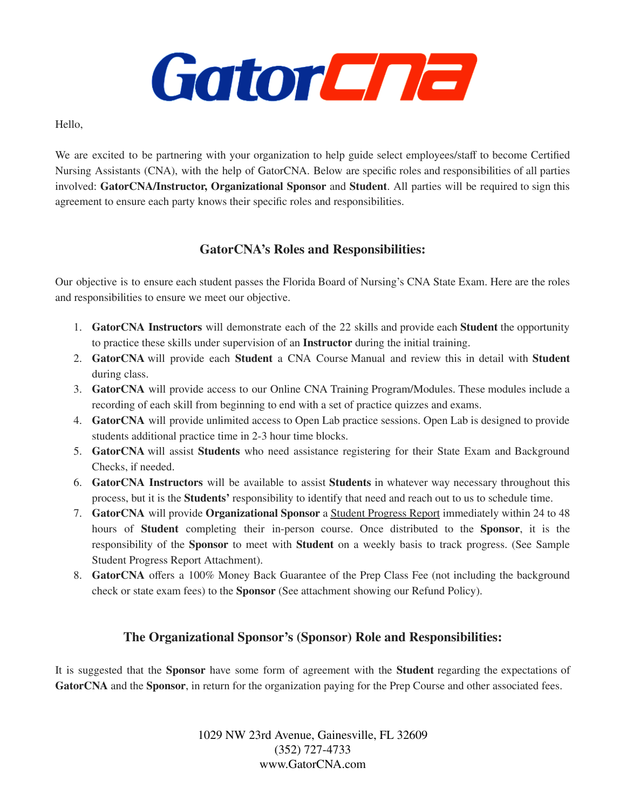

Hello,

We are excited to be partnering with your organization to help guide select employees/staff to become Certified Nursing Assistants (CNA), with the help of GatorCNA. Below are specific roles and responsibilities of all parties involved: **GatorCNA/Instructor, Organizational Sponsor** and **Student**. All parties will be required to sign this agreement to ensure each party knows their specific roles and responsibilities.

## **GatorCNA's Roles and Responsibilities:**

Our objective is to ensure each student passes the Florida Board of Nursing's CNA State Exam. Here are the roles and responsibilities to ensure we meet our objective.

- 1. **GatorCNA Instructors** will demonstrate each of the 22 skills and provide each **Student** the opportunity to practice these skills under supervision of an **Instructor** during the initial training.
- 2. **GatorCNA** will provide each **Student** a CNA Course Manual and review this in detail with **Student** during class.
- 3. **GatorCNA** will provide access to our Online CNA Training Program/Modules. These modules include a recording of each skill from beginning to end with a set of practice quizzes and exams.
- 4. **GatorCNA** will provide unlimited access to Open Lab practice sessions. Open Lab is designed to provide students additional practice time in 2-3 hour time blocks.
- 5. **GatorCNA** will assist **Students** who need assistance registering for their State Exam and Background Checks, if needed.
- 6. **GatorCNA Instructors** will be available to assist **Students** in whatever way necessary throughout this process, but it is the **Students'** responsibility to identify that need and reach out to us to schedule time.
- 7. **GatorCNA** will provide **Organizational Sponsor** a Student Progress Report immediately within 24 to 48 hours of **Student** completing their in-person course. Once distributed to the **Sponsor**, it is the responsibility of the **Sponsor** to meet with **Student** on a weekly basis to track progress. (See Sample Student Progress Report Attachment).
- 8. **GatorCNA** offers a 100% Money Back Guarantee of the Prep Class Fee (not including the background check or state exam fees) to the **Sponsor** (See attachment showing our Refund Policy).

## **The Organizational Sponsor's (Sponsor) Role and Responsibilities:**

It is suggested that the **Sponsor** have some form of agreement with the **Student** regarding the expectations of **GatorCNA** and the **Sponsor**, in return for the organization paying for the Prep Course and other associated fees.

> 1029 NW 23rd Avenue, Gainesville, FL 32609 (352) 727-4733 www.GatorCNA.com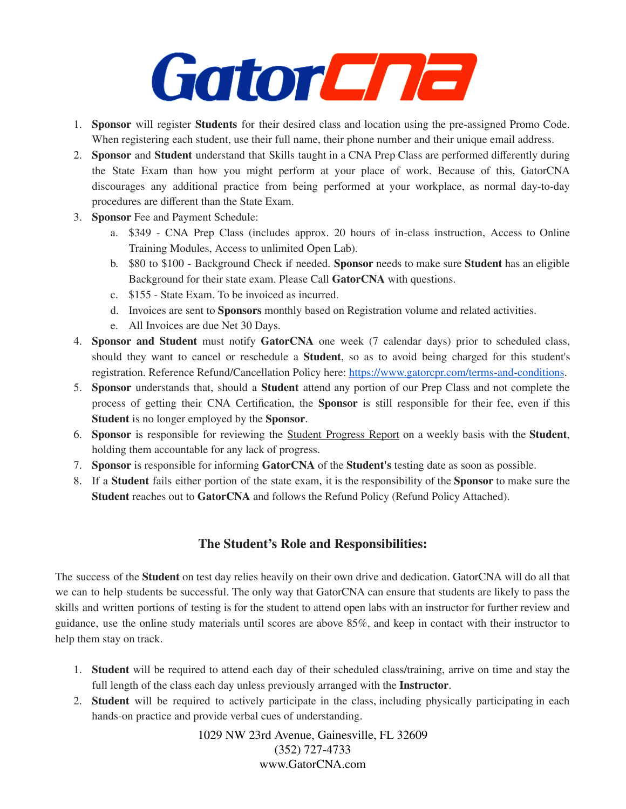## GatorCna

- 1. **Sponsor** will register **Students** for their desired class and location using the pre-assigned Promo Code. When registering each student, use their full name, their phone number and their unique email address.
- 2. **Sponsor** and **Student** understand that Skills taught in a CNA Prep Class are performed differently during the State Exam than how you might perform at your place of work. Because of this, GatorCNA discourages any additional practice from being performed at your workplace, as normal day-to-day procedures are different than the State Exam.
- 3. **Sponsor** Fee and Payment Schedule:
	- a. \$349 CNA Prep Class (includes approx. 20 hours of in-class instruction, Access to Online Training Modules, Access to unlimited Open Lab).
	- b. \$80 to \$100 Background Check if needed. **Sponsor** needs to make sure **Student** has an eligible Background for their state exam. Please Call **GatorCNA** with questions.
	- c. \$155 State Exam. To be invoiced as incurred.
	- d. Invoices are sent to **Sponsors** monthly based on Registration volume and related activities.
	- e. All Invoices are due Net 30 Days.
- 4. **Sponsor and Student** must notify **GatorCNA** one week (7 calendar days) prior to scheduled class, should they want to cancel or reschedule a **Student**, so as to avoid being charged for this student's registration. Reference Refund/Cancellation Policy here: <https://www.gatorcpr.com/terms-and-conditions>.
- 5. **Sponsor** understands that, should a **Student** attend any portion of our Prep Class and not complete the process of getting their CNA Certification, the **Sponsor** is still responsible for their fee, even if this **Student** is no longer employed by the **Sponsor**.
- 6. **Sponsor** is responsible for reviewing the Student Progress Report on a weekly basis with the **Student**, holding them accountable for any lack of progress.
- 7. **Sponsor** is responsible for informing **GatorCNA** of the **Student's** testing date as soon as possible.
- 8. If a **Student** fails either portion of the state exam, it is the responsibility of the **Sponsor** to make sure the **Student** reaches out to **GatorCNA** and follows the Refund Policy (Refund Policy Attached).

## **The Student's Role and Responsibilities:**

The success of the **Student** on test day relies heavily on their own drive and dedication. GatorCNA will do all that we can to help students be successful. The only way that GatorCNA can ensure that students are likely to pass the skills and written portions of testing is for the student to attend open labs with an instructor for further review and guidance, use the online study materials until scores are above 85%, and keep in contact with their instructor to help them stay on track.

- 1. **Student** will be required to attend each day of their scheduled class/training, arrive on time and stay the full length of the class each day unless previously arranged with the **Instructor**.
- 2. **Student** will be required to actively participate in the class, including physically participating in each hands-on practice and provide verbal cues of understanding.

1029 NW 23rd Avenue, Gainesville, FL 32609 (352) 727-4733 www.GatorCNA.com